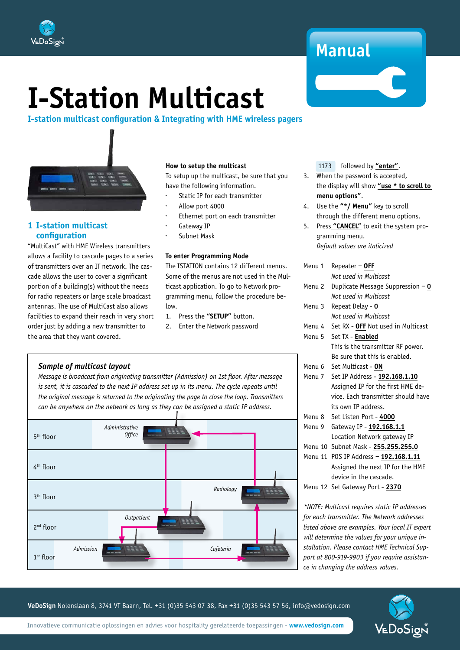

## **Manual**

# **I-Station Multicast**

## **I-station multicast configuration & Integrating with HME wireless pagers**



## **1 I-station multicast configuration**

"MultiCast" with HME Wireless transmitters allows a facility to cascade pages to a series of transmitters over an IT network. The cascade allows the user to cover a significant portion of a building(s) without the needs for radio repeaters or large scale broadcast antennas. The use of MultiCast also allows facilities to expand their reach in very short order just by adding a new transmitter to the area that they want covered.

## **How to setup the multicast**

To setup up the multicast, be sure that you have the following information.

- Static IP for each transmitter
- Allow port 4000
- Ethernet port on each transmitter
- Gateway IP
- Subnet Mask

## **To enter Programming Mode**

The ISTATION contains 12 different menus. Some of the menus are not used in the Multicast application. To go to Network programming menu, follow the procedure below.

ֺ֞֝֡

- 1. Press the **"SETUP"** button.
- 2. Enter the Network password

## *Sample of multicast layout*

*Message is broadcast from originating transmitter (Admission) on 1st floor. After message is sent, it is cascaded to the next IP address set up in its menu. The cycle repeats until the original message is returned to the originating the page to close the loop. Transmitters can be anywhere on the network as long as they can be assigned a static IP address.*



1173 followed by **"enter"**.

- 3. When the password is accepted, the display will show **"use \* to scroll to menu options"**.
- 4. Use the **"\*/ Menu"** key to scroll through the different menu options.
- 5. Press **"CANCEL"** to exit the system programming menu.  *Default values are italicized*

| Menu 1 | Repeater $-$ OFF                                                   |  |
|--------|--------------------------------------------------------------------|--|
|        | Not used in Multicast                                              |  |
| Menu 2 | Duplicate Message Suppression $-$ 0                                |  |
|        | Not used in Multicast                                              |  |
| Menu 3 | Repeat Delay - 0                                                   |  |
|        | Not used in Multicast                                              |  |
| Menu 4 | Set RX - OFF Not used in Multicast                                 |  |
| Menu 5 | Set TX - Enabled                                                   |  |
|        | This is the transmitter RF power.                                  |  |
|        | Be sure that this is enabled.                                      |  |
| Menu 6 | Set Multicast - ON                                                 |  |
| Menu 7 | Set IP Address - 192.168.1.10<br>Assigned IP for the first HME de- |  |
|        |                                                                    |  |
|        | vice. Each transmitter should have                                 |  |
|        | its own IP address.                                                |  |
| Menu 8 | Set Listen Port - 4000                                             |  |
| Menu 9 | Gateway IP - 192.168.1.1                                           |  |
|        | Location Network gateway IP                                        |  |
|        | Menu 10 Subnet Mask - 255.255.255.0                                |  |
|        | Menu 11 POS IP Address - 192.168.1.11                              |  |
|        | Assigned the next IP for the HME                                   |  |
|        | device in the cascade.                                             |  |
|        | Menu 12 Set Gateway Port - 2370                                    |  |

*\*NOTE: Multicast requires static IP addresses for each transmitter. The Network addresses listed above are examples. Your local IT expert will determine the values for your unique installation. Please contact HME Technical Support at 800-919-9903 if you require assistance in changing the address values.*

VEDoSign

**VeDoSign** Nolenslaan 8, 3741 VT Baarn, Tel. +31 (0)35 543 07 38, Fax +31 (0)35 543 57 56, info@vedosign.com

Innovatieve communicatie oplossingen en advies voor hospitality gerelateerde toepassingen - **www.vedosign.com**